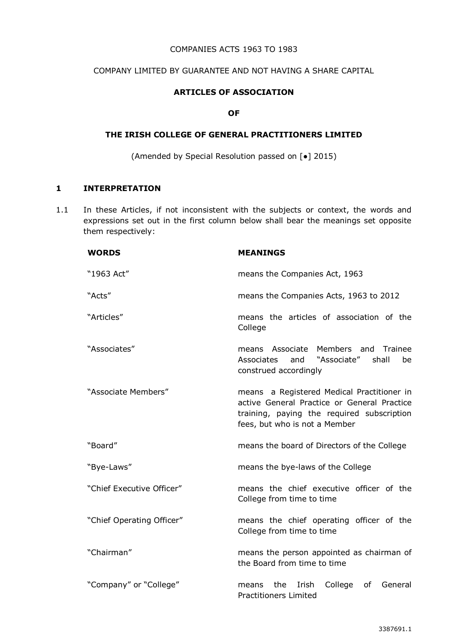### COMPANIES ACTS 1963 TO 1983

### COMPANY LIMITED BY GUARANTEE AND NOT HAVING A SHARE CAPITAL

### **ARTICLES OF ASSOCIATION**

#### **OF**

### **THE IRISH COLLEGE OF GENERAL PRACTITIONERS LIMITED**

(Amended by Special Resolution passed on [●] 2015)

# **1 INTERPRETATION**

1.1 In these Articles, if not inconsistent with the subjects or context, the words and expressions set out in the first column below shall bear the meanings set opposite them respectively:

| <b>WORDS</b>              | <b>MEANINGS</b>                                                                                                                                                          |
|---------------------------|--------------------------------------------------------------------------------------------------------------------------------------------------------------------------|
| "1963 Act"                | means the Companies Act, 1963                                                                                                                                            |
| "Acts"                    | means the Companies Acts, 1963 to 2012                                                                                                                                   |
| "Articles"                | means the articles of association of the<br>College                                                                                                                      |
| "Associates"              | Members and<br>means Associate<br>Trainee<br>"Associate"<br>Associates<br>shall<br>and<br>be<br>construed accordingly                                                    |
| "Associate Members"       | means a Registered Medical Practitioner in<br>active General Practice or General Practice<br>training, paying the required subscription<br>fees, but who is not a Member |
| "Board"                   | means the board of Directors of the College                                                                                                                              |
| "Bye-Laws"                | means the bye-laws of the College                                                                                                                                        |
| "Chief Executive Officer" | means the chief executive officer of the<br>College from time to time                                                                                                    |
| "Chief Operating Officer" | means the chief operating officer of the<br>College from time to time                                                                                                    |
| "Chairman"                | means the person appointed as chairman of<br>the Board from time to time                                                                                                 |
| "Company" or "College"    | College<br>of<br>the<br>Irish<br>General<br>means<br><b>Practitioners Limited</b>                                                                                        |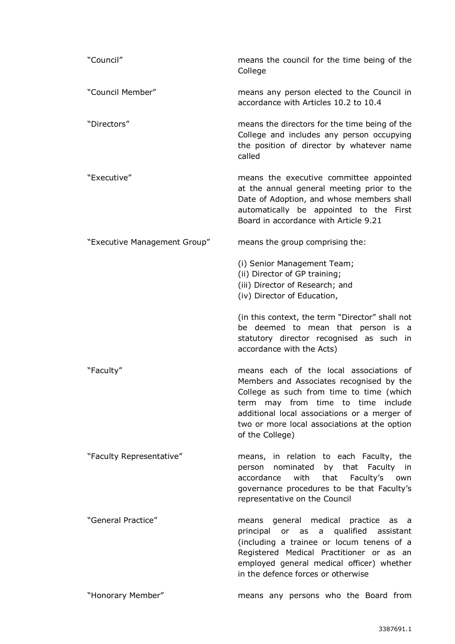| "Council"                    | means the council for the time being of the<br>College                                                                                                                                                                                                                                   |
|------------------------------|------------------------------------------------------------------------------------------------------------------------------------------------------------------------------------------------------------------------------------------------------------------------------------------|
| "Council Member"             | means any person elected to the Council in<br>accordance with Articles 10.2 to 10.4                                                                                                                                                                                                      |
| "Directors"                  | means the directors for the time being of the<br>College and includes any person occupying<br>the position of director by whatever name<br>called                                                                                                                                        |
| "Executive"                  | means the executive committee appointed<br>at the annual general meeting prior to the<br>Date of Adoption, and whose members shall<br>automatically be appointed to the First<br>Board in accordance with Article 9.21                                                                   |
| "Executive Management Group" | means the group comprising the:                                                                                                                                                                                                                                                          |
|                              | (i) Senior Management Team;<br>(ii) Director of GP training;<br>(iii) Director of Research; and<br>(iv) Director of Education,                                                                                                                                                           |
|                              | (in this context, the term "Director" shall not<br>be deemed to mean that person is a<br>statutory director recognised as such in<br>accordance with the Acts)                                                                                                                           |
| "Faculty"                    | means each of the local associations of<br>Members and Associates recognised by the<br>College as such from time to time (which<br>term may from time to time include<br>additional local associations or a merger of<br>two or more local associations at the option<br>of the College) |
| "Faculty Representative"     | means, in relation to each Faculty, the<br>nominated by that Faculty in<br>person<br>accordance<br>with<br>that<br>Faculty's<br>own<br>governance procedures to be that Faculty's<br>representative on the Council                                                                       |
| "General Practice"           | means general medical practice as a<br>or as a qualified assistant<br>principal<br>(including a trainee or locum tenens of a<br>Registered Medical Practitioner or as an<br>employed general medical officer) whether<br>in the defence forces or otherwise                              |
| "Honorary Member"            | means any persons who the Board from                                                                                                                                                                                                                                                     |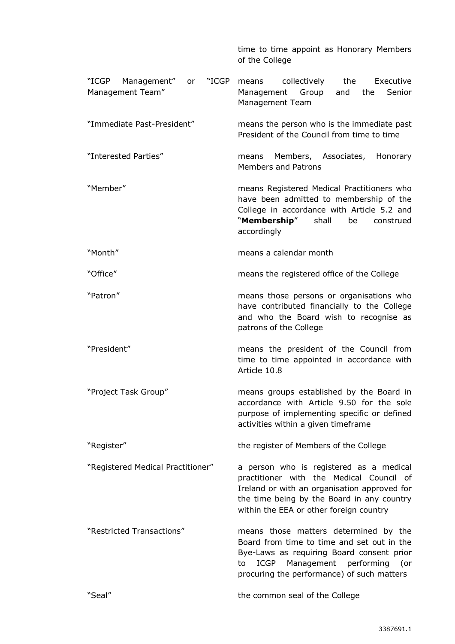|                                                      | time to time appoint as Honorary Members<br>of the College                                                                                                                                                                   |
|------------------------------------------------------|------------------------------------------------------------------------------------------------------------------------------------------------------------------------------------------------------------------------------|
| "ICGP Management"<br>"ICGP<br>or<br>Management Team" | Executive<br>collectively<br>the<br>means<br>Group<br>Management<br>and<br>the<br>Senior<br>Management Team                                                                                                                  |
| "Immediate Past-President"                           | means the person who is the immediate past<br>President of the Council from time to time                                                                                                                                     |
| "Interested Parties"                                 | Members, Associates,<br>Honorary<br>means<br>Members and Patrons                                                                                                                                                             |
| "Member"                                             | means Registered Medical Practitioners who<br>have been admitted to membership of the<br>College in accordance with Article 5.2 and<br>"Membership"<br>shall<br>be<br>construed<br>accordingly                               |
| "Month"                                              | means a calendar month                                                                                                                                                                                                       |
| "Office"                                             | means the registered office of the College                                                                                                                                                                                   |
| "Patron"                                             | means those persons or organisations who<br>have contributed financially to the College<br>and who the Board wish to recognise as<br>patrons of the College                                                                  |
| "President"                                          | means the president of the Council from<br>time to time appointed in accordance with<br>Article 10.8                                                                                                                         |
| "Project Task Group"                                 | means groups established by the Board in<br>accordance with Article 9.50 for the sole<br>purpose of implementing specific or defined<br>activities within a given timeframe                                                  |
| "Register"                                           | the register of Members of the College                                                                                                                                                                                       |
| "Registered Medical Practitioner"                    | a person who is registered as a medical<br>practitioner with the Medical Council of<br>Ireland or with an organisation approved for<br>the time being by the Board in any country<br>within the EEA or other foreign country |
| "Restricted Transactions"                            | means those matters determined by the<br>Board from time to time and set out in the<br>Bye-Laws as requiring Board consent prior<br>Management performing (or<br>ICGP<br>to<br>procuring the performance) of such matters    |
| "Seal"                                               | the common seal of the College                                                                                                                                                                                               |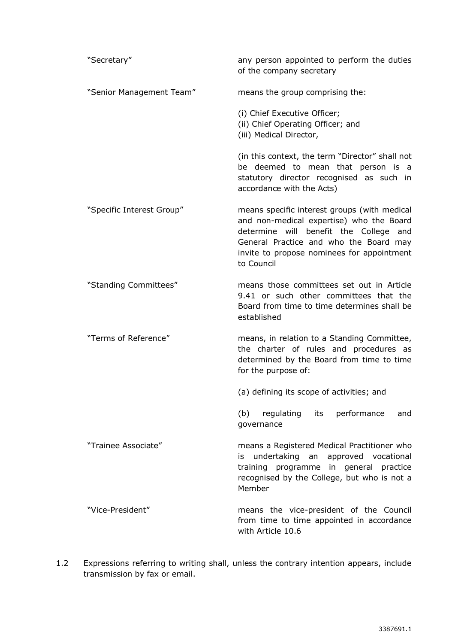| "Secretary"               | any person appointed to perform the duties<br>of the company secretary                                                                                                                                                                   |
|---------------------------|------------------------------------------------------------------------------------------------------------------------------------------------------------------------------------------------------------------------------------------|
| "Senior Management Team"  | means the group comprising the:                                                                                                                                                                                                          |
|                           | (i) Chief Executive Officer;<br>(ii) Chief Operating Officer; and<br>(iii) Medical Director,                                                                                                                                             |
|                           | (in this context, the term "Director" shall not<br>be deemed to mean that person is a<br>statutory director recognised as such in<br>accordance with the Acts)                                                                           |
| "Specific Interest Group" | means specific interest groups (with medical<br>and non-medical expertise) who the Board<br>determine will benefit the College and<br>General Practice and who the Board may<br>invite to propose nominees for appointment<br>to Council |
| "Standing Committees"     | means those committees set out in Article<br>9.41 or such other committees that the<br>Board from time to time determines shall be<br>established                                                                                        |
| "Terms of Reference"      | means, in relation to a Standing Committee,<br>the charter of rules and procedures as<br>determined by the Board from time to time<br>for the purpose of:                                                                                |
|                           | (a) defining its scope of activities; and                                                                                                                                                                                                |
|                           | performance<br>(b)<br>regulating its<br>and<br>governance                                                                                                                                                                                |
| "Trainee Associate"       | means a Registered Medical Practitioner who<br>undertaking an approved vocational<br>is<br>training programme in general practice<br>recognised by the College, but who is not a<br>Member                                               |
| "Vice-President"          | means the vice-president of the Council<br>from time to time appointed in accordance<br>with Article 10.6                                                                                                                                |

1.2 Expressions referring to writing shall, unless the contrary intention appears, include transmission by fax or email.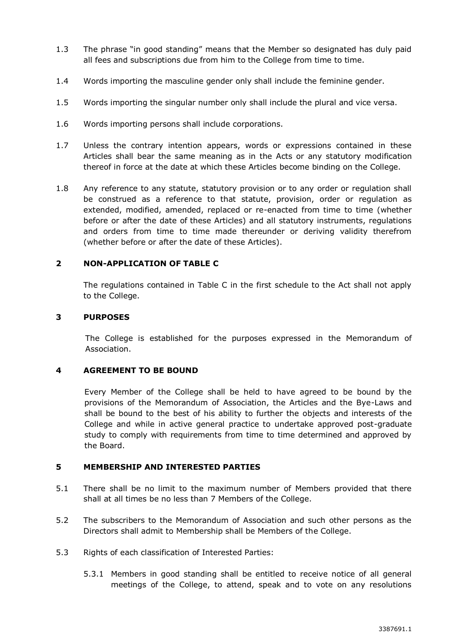- 1.3 The phrase "in good standing" means that the Member so designated has duly paid all fees and subscriptions due from him to the College from time to time.
- 1.4 Words importing the masculine gender only shall include the feminine gender.
- 1.5 Words importing the singular number only shall include the plural and vice versa.
- 1.6 Words importing persons shall include corporations.
- 1.7 Unless the contrary intention appears, words or expressions contained in these Articles shall bear the same meaning as in the Acts or any statutory modification thereof in force at the date at which these Articles become binding on the College.
- 1.8 Any reference to any statute, statutory provision or to any order or regulation shall be construed as a reference to that statute, provision, order or regulation as extended, modified, amended, replaced or re-enacted from time to time (whether before or after the date of these Articles) and all statutory instruments, regulations and orders from time to time made thereunder or deriving validity therefrom (whether before or after the date of these Articles).

# **2 NON-APPLICATION OF TABLE C**

The regulations contained in Table C in the first schedule to the Act shall not apply to the College.

## **3 PURPOSES**

The College is established for the purposes expressed in the Memorandum of Association.

## **4 AGREEMENT TO BE BOUND**

Every Member of the College shall be held to have agreed to be bound by the provisions of the Memorandum of Association, the Articles and the Bye-Laws and shall be bound to the best of his ability to further the objects and interests of the College and while in active general practice to undertake approved post-graduate study to comply with requirements from time to time determined and approved by the Board.

# **5 MEMBERSHIP AND INTERESTED PARTIES**

- 5.1 There shall be no limit to the maximum number of Members provided that there shall at all times be no less than 7 Members of the College.
- <span id="page-4-0"></span>5.2 The subscribers to the Memorandum of Association and such other persons as the Directors shall admit to Membership shall be Members of the College.
- 5.3 Rights of each classification of Interested Parties:
	- 5.3.1 Members in good standing shall be entitled to receive notice of all general meetings of the College, to attend, speak and to vote on any resolutions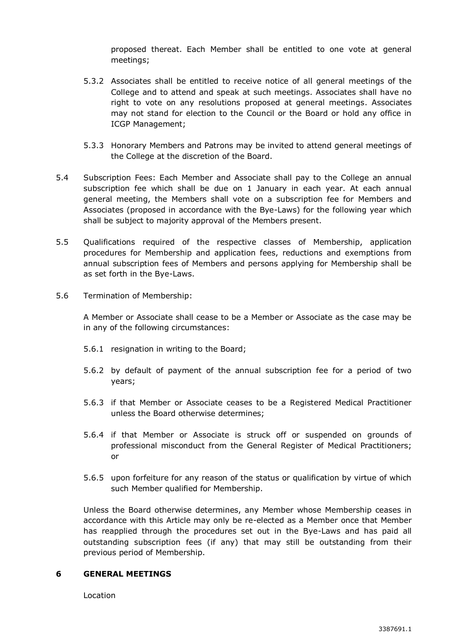proposed thereat. Each Member shall be entitled to one vote at general meetings;

- 5.3.2 Associates shall be entitled to receive notice of all general meetings of the College and to attend and speak at such meetings. Associates shall have no right to vote on any resolutions proposed at general meetings. Associates may not stand for election to the Council or the Board or hold any office in ICGP Management;
- 5.3.3 Honorary Members and Patrons may be invited to attend general meetings of the College at the discretion of the Board.
- 5.4 Subscription Fees: Each Member and Associate shall pay to the College an annual subscription fee which shall be due on 1 January in each year. At each annual general meeting, the Members shall vote on a subscription fee for Members and Associates (proposed in accordance with the Bye-Laws) for the following year which shall be subject to majority approval of the Members present.
- 5.5 Qualifications required of the respective classes of Membership, application procedures for Membership and application fees, reductions and exemptions from annual subscription fees of Members and persons applying for Membership shall be as set forth in the Bye-Laws.
- 5.6 Termination of Membership:

A Member or Associate shall cease to be a Member or Associate as the case may be in any of the following circumstances:

- 5.6.1 resignation in writing to the Board;
- 5.6.2 by default of payment of the annual subscription fee for a period of two years;
- 5.6.3 if that Member or Associate ceases to be a Registered Medical Practitioner unless the Board otherwise determines;
- 5.6.4 if that Member or Associate is struck off or suspended on grounds of professional misconduct from the General Register of Medical Practitioners; or
- 5.6.5 upon forfeiture for any reason of the status or qualification by virtue of which such Member qualified for Membership.

Unless the Board otherwise determines, any Member whose Membership ceases in accordance with this Article may only be re-elected as a Member once that Member has reapplied through the procedures set out in the Bye-Laws and has paid all outstanding subscription fees (if any) that may still be outstanding from their previous period of Membership.

## **6 GENERAL MEETINGS**

Location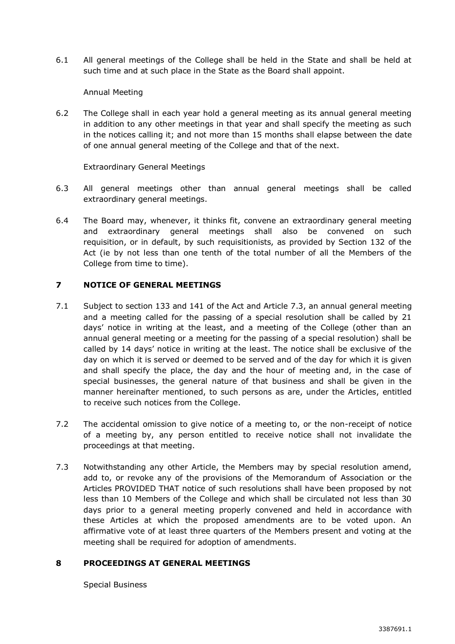6.1 All general meetings of the College shall be held in the State and shall be held at such time and at such place in the State as the Board shall appoint.

### Annual Meeting

6.2 The College shall in each year hold a general meeting as its annual general meeting in addition to any other meetings in that year and shall specify the meeting as such in the notices calling it; and not more than 15 months shall elapse between the date of one annual general meeting of the College and that of the next.

Extraordinary General Meetings

- 6.3 All general meetings other than annual general meetings shall be called extraordinary general meetings.
- 6.4 The Board may, whenever, it thinks fit, convene an extraordinary general meeting and extraordinary general meetings shall also be convened on such requisition, or in default, by such requisitionists, as provided by Section 132 of the Act (ie by not less than one tenth of the total number of all the Members of the College from time to time).

### **7 NOTICE OF GENERAL MEETINGS**

- 7.1 Subject to section 133 and 141 of the Act and Article [7.3,](#page-6-0) an annual general meeting and a meeting called for the passing of a special resolution shall be called by 21 days' notice in writing at the least, and a meeting of the College (other than an annual general meeting or a meeting for the passing of a special resolution) shall be called by 14 days' notice in writing at the least. The notice shall be exclusive of the day on which it is served or deemed to be served and of the day for which it is given and shall specify the place, the day and the hour of meeting and, in the case of special businesses, the general nature of that business and shall be given in the manner hereinafter mentioned, to such persons as are, under the Articles, entitled to receive such notices from the College.
- 7.2 The accidental omission to give notice of a meeting to, or the non-receipt of notice of a meeting by, any person entitled to receive notice shall not invalidate the proceedings at that meeting.
- <span id="page-6-0"></span>7.3 Notwithstanding any other Article, the Members may by special resolution amend, add to, or revoke any of the provisions of the Memorandum of Association or the Articles PROVIDED THAT notice of such resolutions shall have been proposed by not less than 10 Members of the College and which shall be circulated not less than 30 days prior to a general meeting properly convened and held in accordance with these Articles at which the proposed amendments are to be voted upon. An affirmative vote of at least three quarters of the Members present and voting at the meeting shall be required for adoption of amendments.

## **8 PROCEEDINGS AT GENERAL MEETINGS**

Special Business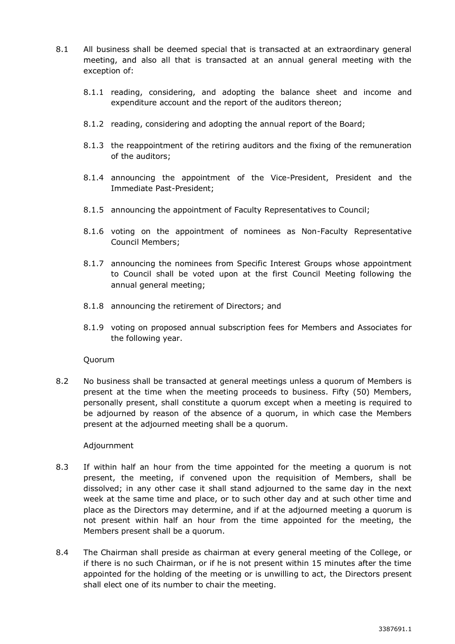- 8.1 All business shall be deemed special that is transacted at an extraordinary general meeting, and also all that is transacted at an annual general meeting with the exception of:
	- 8.1.1 reading, considering, and adopting the balance sheet and income and expenditure account and the report of the auditors thereon;
	- 8.1.2 reading, considering and adopting the annual report of the Board;
	- 8.1.3 the reappointment of the retiring auditors and the fixing of the remuneration of the auditors;
	- 8.1.4 announcing the appointment of the Vice-President, President and the Immediate Past-President;
	- 8.1.5 announcing the appointment of Faculty Representatives to Council;
	- 8.1.6 voting on the appointment of nominees as Non-Faculty Representative Council Members;
	- 8.1.7 announcing the nominees from Specific Interest Groups whose appointment to Council shall be voted upon at the first Council Meeting following the annual general meeting;
	- 8.1.8 announcing the retirement of Directors; and
	- 8.1.9 voting on proposed annual subscription fees for Members and Associates for the following year.

Quorum

8.2 No business shall be transacted at general meetings unless a quorum of Members is present at the time when the meeting proceeds to business. Fifty (50) Members, personally present, shall constitute a quorum except when a meeting is required to be adjourned by reason of the absence of a quorum, in which case the Members present at the adjourned meeting shall be a quorum.

#### Adjournment

- 8.3 If within half an hour from the time appointed for the meeting a quorum is not present, the meeting, if convened upon the requisition of Members, shall be dissolved; in any other case it shall stand adjourned to the same day in the next week at the same time and place, or to such other day and at such other time and place as the Directors may determine, and if at the adjourned meeting a quorum is not present within half an hour from the time appointed for the meeting, the Members present shall be a quorum.
- 8.4 The Chairman shall preside as chairman at every general meeting of the [College,](http://www.betterregulation.com/doc/4/430/#Companies_Act_1963_company) or if there is no such Chairman, or if he is not present within 15 minutes after the time appointed for the holding of the meeting or is unwilling to act, [the Directors](http://www.betterregulation.com/doc/4/419/#CA_1963_the_directors2) present shall elect one of its number to chair the meeting.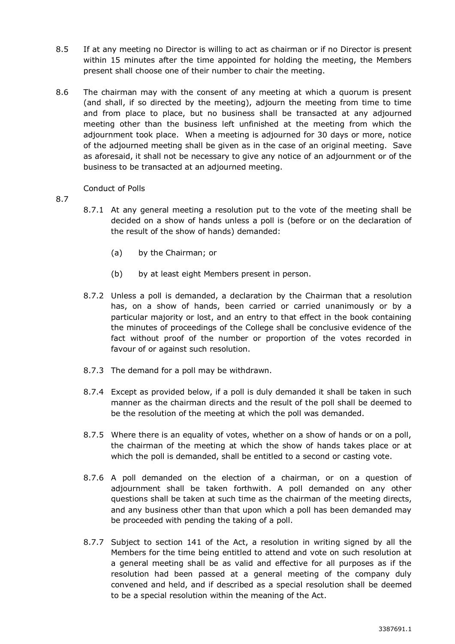- 8.5 If at any meeting no [Director](http://www.betterregulation.com/doc/4/430/#Companies_Act_1963_director) is willing to act as chairman or if no [Director](http://www.betterregulation.com/doc/4/430/#Companies_Act_1963_director) is present within 15 minutes after the time appointed for holding the meeting, the Members present shall choose one of their number to chair the meeting.
- 8.6 The chairman may with the consent of any meeting at which a quorum is present (and shall, if so directed by the meeting), adjourn the meeting from time to time and from place to place, but no business shall be transacted at any adjourned meeting other than the business left unfinished at the meeting from which the adjournment took place. When a meeting is adjourned for 30 days or more, notice of the adjourned meeting shall be given as in the case of an original meeting. Save as aforesaid, it shall not be necessary to give any notice of an adjournment or of the business to be transacted at an adjourned meeting.

## Conduct of Polls

- 8.7
- 8.7.1 At any general meeting a resolution put to the vote of the meeting shall be decided on a show of hands unless a poll is (before or on the declaration of the result of the show of hands) demanded:
	- (a) by the Chairman; or
	- (b) by at least eight Members present in person.
- 8.7.2 Unless a poll is demanded, a declaration by the Chairman that a resolution has, on a show of hands, been carried or carried unanimously or by a particular majority or lost, and an entry to that effect in the book containing the minutes of proceedings of the College shall be conclusive evidence of the fact without proof of the number or proportion of the votes recorded in favour of or against such resolution.
- 8.7.3 The demand for a poll may be withdrawn.
- 8.7.4 Except as provided below, if a poll is duly demanded it shall be taken in such manner as the chairman directs and the result of the poll shall be deemed to be the resolution of the meeting at which the poll was demanded.
- 8.7.5 Where there is an equality of votes, whether on a show of hands or on a poll, the chairman of the meeting at which the show of hands takes place or at which the poll is demanded, shall be entitled to a second or casting vote.
- 8.7.6 A poll demanded on the election of a chairman, or on a question of adjournment shall be taken forthwith. A poll demanded on any other questions shall be taken at such time as the chairman of the meeting directs, and any business other than that upon which a poll has been demanded may be proceeded with pending the taking of a poll.
- 8.7.7 Subject to section 141 of the Act, a resolution in writing signed by all the Members for the time being entitled to attend and vote on such resolution at a general meeting shall be as valid and effective for all purposes as if the resolution had been passed at a general meeting of the company duly convened and held, and if described as a special resolution shall be deemed to be a special resolution within the meaning of the Act.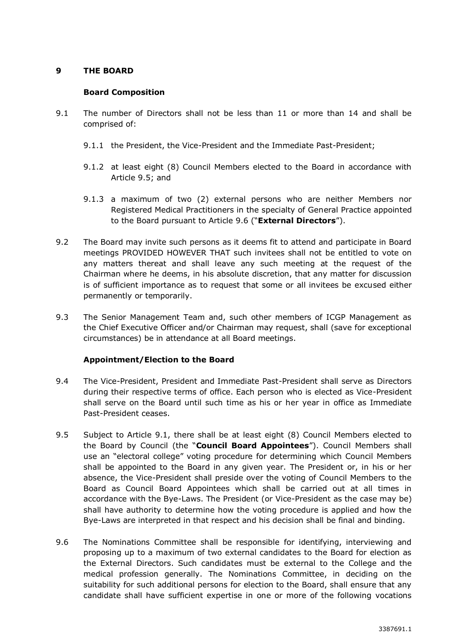## **9 THE BOARD**

## **Board Composition**

- <span id="page-9-2"></span>9.1 The number of Directors shall not be less than 11 or more than 14 and shall be comprised of:
	- 9.1.1 the President, the Vice-President and the Immediate Past-President;
	- 9.1.2 at least eight (8) Council Members elected to the Board in accordance with Article [9.5;](#page-9-0) and
	- 9.1.3 a maximum of two (2) external persons who are neither Members nor Registered Medical Practitioners in the specialty of General Practice appointed to the Board pursuant to Article [9.6](#page-9-1) ("**External Directors**").
- 9.2 The Board may invite such persons as it deems fit to attend and participate in Board meetings PROVIDED HOWEVER THAT such invitees shall not be entitled to vote on any matters thereat and shall leave any such meeting at the request of the Chairman where he deems, in his absolute discretion, that any matter for discussion is of sufficient importance as to request that some or all invitees be excused either permanently or temporarily.
- 9.3 The Senior Management Team and, such other members of ICGP Management as the Chief Executive Officer and/or Chairman may request, shall (save for exceptional circumstances) be in attendance at all Board meetings.

# **Appointment/Election to the Board**

- 9.4 The Vice-President, President and Immediate Past-President shall serve as Directors during their respective terms of office. Each person who is elected as Vice-President shall serve on the Board until such time as his or her year in office as Immediate Past-President ceases.
- <span id="page-9-0"></span>9.5 Subject to Article [9.1,](#page-9-2) there shall be at least eight (8) Council Members elected to the Board by Council (the "**Council Board Appointees**"). Council Members shall use an "electoral college" voting procedure for determining which Council Members shall be appointed to the Board in any given year. The President or, in his or her absence, the Vice-President shall preside over the voting of Council Members to the Board as Council Board Appointees which shall be carried out at all times in accordance with the Bye-Laws. The President (or Vice-President as the case may be) shall have authority to determine how the voting procedure is applied and how the Bye-Laws are interpreted in that respect and his decision shall be final and binding.
- <span id="page-9-1"></span>9.6 The Nominations Committee shall be responsible for identifying, interviewing and proposing up to a maximum of two external candidates to the Board for election as the External Directors. Such candidates must be external to the College and the medical profession generally. The Nominations Committee, in deciding on the suitability for such additional persons for election to the Board, shall ensure that any candidate shall have sufficient expertise in one or more of the following vocations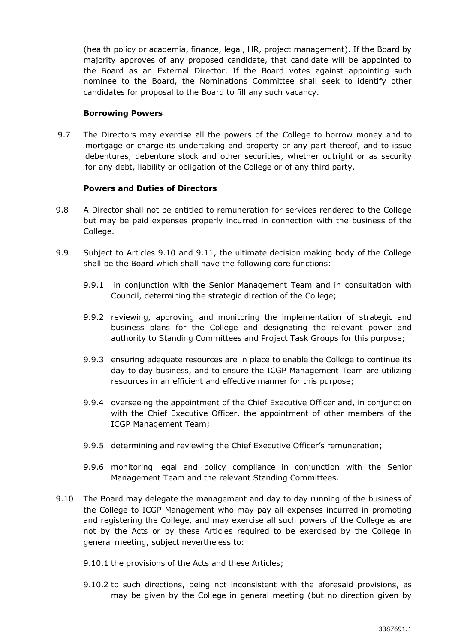(health policy or academia, finance, legal, HR, project management). If the Board by majority approves of any proposed candidate, that candidate will be appointed to the Board as an External Director. If the Board votes against appointing such nominee to the Board, the Nominations Committee shall seek to identify other candidates for proposal to the Board to fill any such vacancy.

#### **Borrowing Powers**

9.7 The Directors may exercise all the powers of the College to borrow money and to mortgage or charge its undertaking and property or any part thereof, and to issue debentures, debenture stock and other securities, whether outright or as security for any debt, liability or obligation of the College or of any third party.

### **Powers and Duties of Directors**

- 9.8 A Director shall not be entitled to remuneration for services rendered to the College but may be paid expenses properly incurred in connection with the business of the College.
- 9.9 Subject to Articles [9.10](#page-10-0) and [9.11,](#page-11-0) the ultimate decision making body of the College shall be the Board which shall have the following core functions:
	- 9.9.1 in conjunction with the Senior Management Team and in consultation with Council, determining the strategic direction of the College;
	- 9.9.2 reviewing, approving and monitoring the implementation of strategic and business plans for the College and designating the relevant power and authority to Standing Committees and Project Task Groups for this purpose;
	- 9.9.3 ensuring adequate resources are in place to enable the College to continue its day to day business, and to ensure the ICGP Management Team are utilizing resources in an efficient and effective manner for this purpose;
	- 9.9.4 overseeing the appointment of the Chief Executive Officer and, in conjunction with the Chief Executive Officer, the appointment of other members of the ICGP Management Team;
	- 9.9.5 determining and reviewing the Chief Executive Officer's remuneration;
	- 9.9.6 monitoring legal and policy compliance in conjunction with the Senior Management Team and the relevant Standing Committees.
- <span id="page-10-0"></span>9.10 The Board may delegate the management and day to day running of the business of the College to ICGP Management who may pay all expenses incurred in promoting and registering the College, and may exercise all such powers of the College as are not by the Acts or by these Articles required to be exercised by the College in general meeting, subject nevertheless to:
	- 9.10.1 the provisions of the Acts and these Articles;
	- 9.10.2 to such directions, being not inconsistent with the aforesaid provisions, as may be given by the College in general meeting (but no direction given by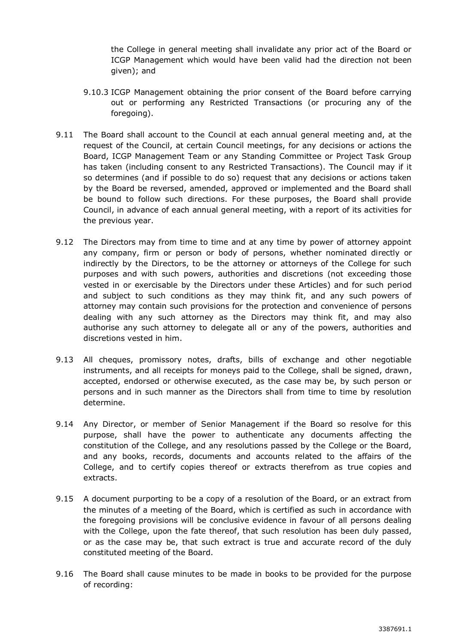the College in general meeting shall invalidate any prior act of the Board or ICGP Management which would have been valid had the direction not been given); and

- 9.10.3 ICGP Management obtaining the prior consent of the Board before carrying out or performing any Restricted Transactions (or procuring any of the foregoing).
- <span id="page-11-0"></span>9.11 The Board shall account to the Council at each annual general meeting and, at the request of the Council, at certain Council meetings, for any decisions or actions the Board, ICGP Management Team or any Standing Committee or Project Task Group has taken (including consent to any Restricted Transactions). The Council may if it so determines (and if possible to do so) request that any decisions or actions taken by the Board be reversed, amended, approved or implemented and the Board shall be bound to follow such directions. For these purposes, the Board shall provide Council, in advance of each annual general meeting, with a report of its activities for the previous year.
- 9.12 The Directors may from time to time and at any time by power of attorney appoint any company, firm or person or body of persons, whether nominated directly or indirectly by the Directors, to be the attorney or attorneys of the College for such purposes and with such powers, authorities and discretions (not exceeding those vested in or exercisable by the Directors under these Articles) and for such period and subject to such conditions as they may think fit, and any such powers of attorney may contain such provisions for the protection and convenience of persons dealing with any such attorney as the Directors may think fit, and may also authorise any such attorney to delegate all or any of the powers, authorities and discretions vested in him.
- 9.13 All cheques, promissory notes, drafts, bills of exchange and other negotiable instruments, and all receipts for moneys paid to the College, shall be signed, drawn, accepted, endorsed or otherwise executed, as the case may be, by such person or persons and in such manner as the Directors shall from time to time by resolution determine.
- 9.14 Any Director, or member of Senior Management if the Board so resolve for this purpose, shall have the power to authenticate any documents affecting the constitution of the College, and any resolutions passed by the College or the Board, and any books, records, documents and accounts related to the affairs of the College, and to certify copies thereof or extracts therefrom as true copies and extracts.
- 9.15 A document purporting to be a copy of a resolution of the Board, or an extract from the minutes of a meeting of the Board, which is certified as such in accordance with the foregoing provisions will be conclusive evidence in favour of all persons dealing with the College, upon the fate thereof, that such resolution has been duly passed, or as the case may be, that such extract is true and accurate record of the duly constituted meeting of the Board.
- 9.16 The Board shall cause minutes to be made in books to be provided for the purpose of recording: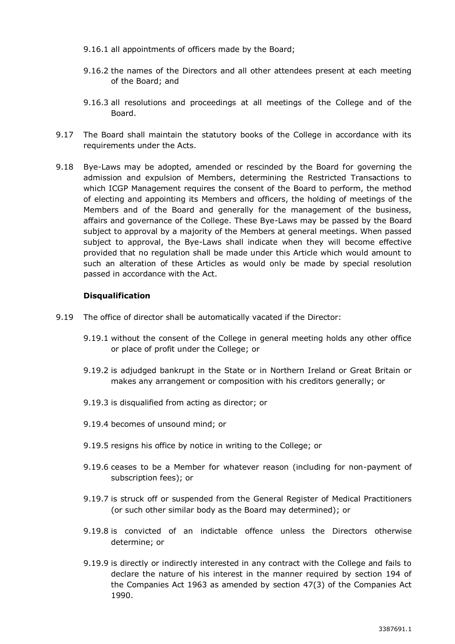- 9.16.1 all appointments of officers made by the Board;
- 9.16.2 the names of the Directors and all other attendees present at each meeting of the Board; and
- 9.16.3 all resolutions and proceedings at all meetings of the College and of the Board.
- 9.17 The Board shall maintain the statutory books of the College in accordance with its requirements under the Acts.
- 9.18 Bye-Laws may be adopted, amended or rescinded by the Board for governing the admission and expulsion of Members, determining the Restricted Transactions to which ICGP Management requires the consent of the Board to perform, the method of electing and appointing its Members and officers, the holding of meetings of the Members and of the Board and generally for the management of the business, affairs and governance of the College. These Bye-Laws may be passed by the Board subject to approval by a majority of the Members at general meetings. When passed subject to approval, the Bye-Laws shall indicate when they will become effective provided that no regulation shall be made under this Article which would amount to such an alteration of these Articles as would only be made by special resolution passed in accordance with the Act.

### **Disqualification**

- 9.19 The office of director shall be automatically vacated if the Director:
	- 9.19.1 without the consent of the College in general meeting holds any other office or place of profit under the College; or
	- 9.19.2 is adjudged bankrupt in the State or in Northern Ireland or Great Britain or makes any arrangement or composition with his creditors generally; or
	- 9.19.3 is disqualified from acting as director; or
	- 9.19.4 becomes of unsound mind; or
	- 9.19.5 resigns his office by notice in writing to the College; or
	- 9.19.6 ceases to be a Member for whatever reason (including for non-payment of subscription fees); or
	- 9.19.7 is struck off or suspended from the General Register of Medical Practitioners (or such other similar body as the Board may determined); or
	- 9.19.8 is convicted of an indictable offence unless the Directors otherwise determine; or
	- 9.19.9 is directly or indirectly interested in any contract with the College and fails to declare the nature of his interest in the manner required by section 194 of the Companies Act 1963 as amended by section 47(3) of the Companies Act 1990.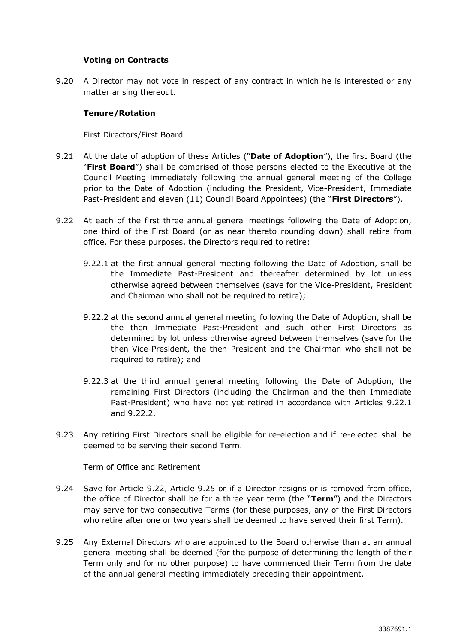### **Voting on Contracts**

9.20 A Director may not vote in respect of any contract in which he is interested or any matter arising thereout.

### **Tenure/Rotation**

First Directors/First Board

- <span id="page-13-0"></span>9.21 At the date of adoption of these Articles ("**Date of Adoption**"), the first Board (the "**First Board**") shall be comprised of those persons elected to the Executive at the Council Meeting immediately following the annual general meeting of the College prior to the Date of Adoption (including the President, Vice-President, Immediate Past-President and eleven (11) Council Board Appointees) (the "**First Directors**").
- <span id="page-13-3"></span><span id="page-13-2"></span><span id="page-13-1"></span>9.22 At each of the first three annual general meetings following the Date of Adoption, one third of the First Board (or as near thereto rounding down) shall retire from office. For these purposes, the Directors required to retire:
	- 9.22.1 at the first annual general meeting following the Date of Adoption, shall be the Immediate Past-President and thereafter determined by lot unless otherwise agreed between themselves (save for the Vice-President, President and Chairman who shall not be required to retire);
	- 9.22.2 at the second annual general meeting following the Date of Adoption, shall be the then Immediate Past-President and such other First Directors as determined by lot unless otherwise agreed between themselves (save for the then Vice-President, the then President and the Chairman who shall not be required to retire); and
	- 9.22.3 at the third annual general meeting following the Date of Adoption, the remaining First Directors (including the Chairman and the then Immediate Past-President) who have not yet retired in accordance with Articles [9.22.1](#page-13-1) and [9.22.2.](#page-13-2)
- <span id="page-13-5"></span>9.23 Any retiring First Directors shall be eligible for re-election and if re-elected shall be deemed to be serving their second Term.

Term of Office and Retirement

- 9.24 Save for Article [9.22,](#page-13-3) Article [9.25](#page-13-4) or if a Director resigns or is removed from office, the office of Director shall be for a three year term (the "**Term**") and the Directors may serve for two consecutive Terms (for these purposes, any of the First Directors who retire after one or two years shall be deemed to have served their first Term).
- <span id="page-13-4"></span>9.25 Any External Directors who are appointed to the Board otherwise than at an annual general meeting shall be deemed (for the purpose of determining the length of their Term only and for no other purpose) to have commenced their Term from the date of the annual general meeting immediately preceding their appointment.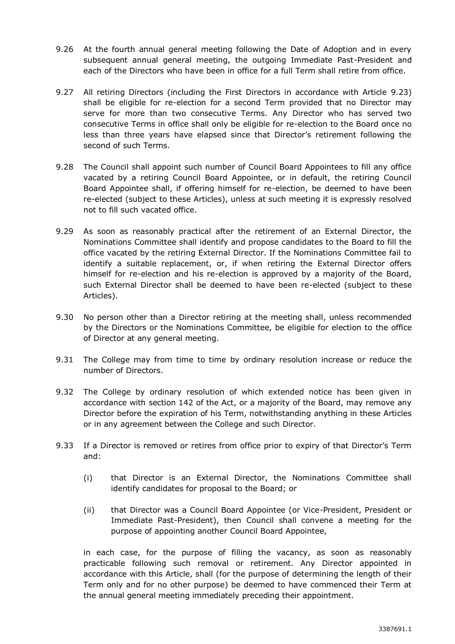- 9.26 At the fourth annual general meeting following the Date of Adoption and in every subsequent annual general meeting, the outgoing Immediate Past-President and each of the Directors who have been in office for a full Term shall retire from office.
- 9.27 All retiring Directors (including the First Directors in accordance with Article [9.23\)](#page-13-5) shall be eligible for re-election for a second Term provided that no Director may serve for more than two consecutive Terms. Any Director who has served two consecutive Terms in office shall only be eligible for re-election to the Board once no less than three years have elapsed since that Director's retirement following the second of such Terms.
- 9.28 The Council shall appoint such number of Council Board Appointees to fill any office vacated by a retiring Council Board Appointee, or in default, the retiring Council Board Appointee shall, if offering himself for re-election, be deemed to have been re-elected (subject to these Articles), unless at such meeting it is expressly resolved not to fill such vacated office.
- 9.29 As soon as reasonably practical after the retirement of an External Director, the Nominations Committee shall identify and propose candidates to the Board to fill the office vacated by the retiring External Director. If the Nominations Committee fail to identify a suitable replacement, or, if when retiring the External Director offers himself for re-election and his re-election is approved by a majority of the Board, such External Director shall be deemed to have been re-elected (subject to these Articles).
- 9.30 No person other than a [Director](http://www.betterregulation.com/doc/4/430/#Companies_Act_1963_director) retiring at the meeting shall, unless recommended by [the Directors](http://www.betterregulation.com/doc/4/419/#CA_1963_the_directors2) or the Nominations Committee, be eligible for election to [the office](http://www.betterregulation.com/doc/4/419/#CA_1963_the_office2) of [Director](http://www.betterregulation.com/doc/4/430/#Companies_Act_1963_director) at any general meeting.
- 9.31 The College may from time to time by ordinary resolution increase or reduce the number of Directors.
- 9.32 The College by ordinary resolution of which extended notice has been given in accordance with section 142 of the Act, or a majority of the Board, may remove any Director before the expiration of his Term, notwithstanding anything in these Articles or in any agreement between the College and such Director.
- 9.33 If a Director is removed or retires from office prior to expiry of that Director's Term and:
	- (i) that Director is an External Director, the Nominations Committee shall identify candidates for proposal to the Board; or
	- (ii) that Director was a Council Board Appointee (or Vice-President, President or Immediate Past-President), then Council shall convene a meeting for the purpose of appointing another Council Board Appointee,

in each case, for the purpose of filling the vacancy, as soon as reasonably practicable following such removal or retirement. Any Director appointed in accordance with this Article, shall (for the purpose of determining the length of their Term only and for no other purpose) be deemed to have commenced their Term at the annual general meeting immediately preceding their appointment.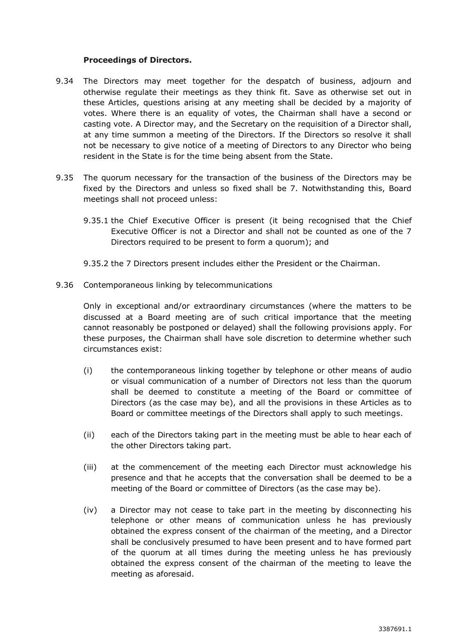#### **Proceedings of Directors.**

- 9.34 The Directors may meet together for the despatch of business, adjourn and otherwise regulate their meetings as they think fit. Save as otherwise set out in these Articles, questions arising at any meeting shall be decided by a majority of votes. Where there is an equality of votes, the Chairman shall have a second or casting vote. A Director may, and the Secretary on the requisition of a Director shall, at any time summon a meeting of the Directors. If the Directors so resolve it shall not be necessary to give notice of a meeting of Directors to any Director who being resident in the State is for the time being absent from the State.
- 9.35 The quorum necessary for the transaction of the business of the Directors may be fixed by the Directors and unless so fixed shall be 7. Notwithstanding this, Board meetings shall not proceed unless:
	- 9.35.1 the Chief Executive Officer is present (it being recognised that the Chief Executive Officer is not a Director and shall not be counted as one of the 7 Directors required to be present to form a quorum); and
	- 9.35.2 the 7 Directors present includes either the President or the Chairman.
- 9.36 Contemporaneous linking by telecommunications

Only in exceptional and/or extraordinary circumstances (where the matters to be discussed at a Board meeting are of such critical importance that the meeting cannot reasonably be postponed or delayed) shall the following provisions apply. For these purposes, the Chairman shall have sole discretion to determine whether such circumstances exist:

- (i) the contemporaneous linking together by telephone or other means of audio or visual communication of a number of Directors not less than the quorum shall be deemed to constitute a meeting of the Board or committee of Directors (as the case may be), and all the provisions in these Articles as to Board or committee meetings of the Directors shall apply to such meetings.
- (ii) each of the Directors taking part in the meeting must be able to hear each of the other Directors taking part.
- (iii) at the commencement of the meeting each Director must acknowledge his presence and that he accepts that the conversation shall be deemed to be a meeting of the Board or committee of Directors (as the case may be).
- (iv) a Director may not cease to take part in the meeting by disconnecting his telephone or other means of communication unless he has previously obtained the express consent of the chairman of the meeting, and a Director shall be conclusively presumed to have been present and to have formed part of the quorum at all times during the meeting unless he has previously obtained the express consent of the chairman of the meeting to leave the meeting as aforesaid.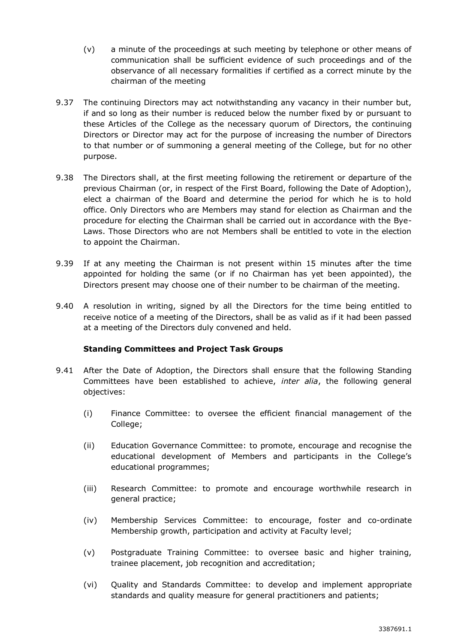- (v) a minute of the proceedings at such meeting by telephone or other means of communication shall be sufficient evidence of such proceedings and of the observance of all necessary formalities if certified as a correct minute by the chairman of the meeting
- 9.37 The continuing Directors may act notwithstanding any vacancy in their number but, if and so long as their number is reduced below the number fixed by or pursuant to these Articles of the College as the necessary quorum of Directors, the continuing Directors or Director may act for the purpose of increasing the number of Directors to that number or of summoning a general meeting of the College, but for no other purpose.
- 9.38 The Directors shall, at the first meeting following the retirement or departure of the previous Chairman (or, in respect of the First Board, following the Date of Adoption), elect a chairman of the Board and determine the period for which he is to hold office. Only Directors who are Members may stand for election as Chairman and the procedure for electing the Chairman shall be carried out in accordance with the Bye-Laws. Those Directors who are not Members shall be entitled to vote in the election to appoint the Chairman.
- 9.39 If at any meeting the Chairman is not present within 15 minutes after the time appointed for holding the same (or if no Chairman has yet been appointed), the Directors present may choose one of their number to be chairman of the meeting.
- 9.40 A resolution in writing, signed by all the Directors for the time being entitled to receive notice of a meeting of the Directors, shall be as valid as if it had been passed at a meeting of the Directors duly convened and held.

## **Standing Committees and Project Task Groups**

- <span id="page-16-0"></span>9.41 After the Date of Adoption, the Directors shall ensure that the following Standing Committees have been established to achieve, *inter alia*, the following general objectives:
	- (i) Finance Committee: to oversee the efficient financial management of the College;
	- (ii) Education Governance Committee: to promote, encourage and recognise the educational development of Members and participants in the College's educational programmes;
	- (iii) Research Committee: to promote and encourage worthwhile research in general practice;
	- (iv) Membership Services Committee: to encourage, foster and co-ordinate Membership growth, participation and activity at Faculty level;
	- (v) Postgraduate Training Committee: to oversee basic and higher training, trainee placement, job recognition and accreditation;
	- (vi) Quality and Standards Committee: to develop and implement appropriate standards and quality measure for general practitioners and patients;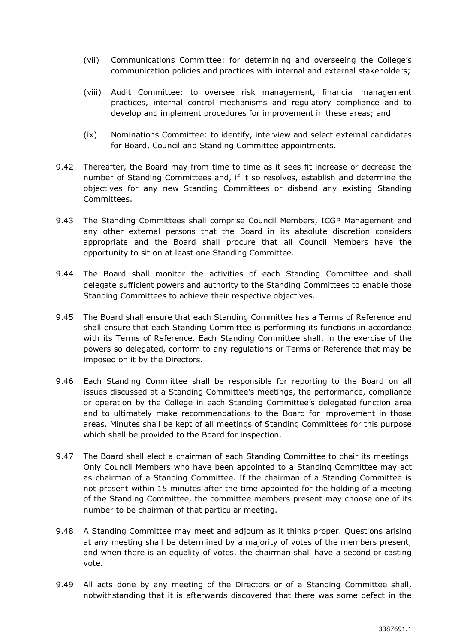- (vii) Communications Committee: for determining and overseeing the College's communication policies and practices with internal and external stakeholders;
- (viii) Audit Committee: to oversee risk management, financial management practices, internal control mechanisms and regulatory compliance and to develop and implement procedures for improvement in these areas; and
- (ix) Nominations Committee: to identify, interview and select external candidates for Board, Council and Standing Committee appointments.
- 9.42 Thereafter, the Board may from time to time as it sees fit increase or decrease the number of Standing Committees and, if it so resolves, establish and determine the objectives for any new Standing Committees or disband any existing Standing Committees.
- 9.43 The Standing Committees shall comprise Council Members, ICGP Management and any other external persons that the Board in its absolute discretion considers appropriate and the Board shall procure that all Council Members have the opportunity to sit on at least one Standing Committee.
- 9.44 The Board shall monitor the activities of each Standing Committee and shall delegate sufficient powers and authority to the Standing Committees to enable those Standing Committees to achieve their respective objectives.
- 9.45 The Board shall ensure that each Standing Committee has a Terms of Reference and shall ensure that each Standing Committee is performing its functions in accordance with its Terms of Reference. Each Standing Committee shall, in the exercise of the powers so delegated, conform to any regulations or Terms of Reference that may be imposed on it by the Directors.
- 9.46 Each Standing Committee shall be responsible for reporting to the Board on all issues discussed at a Standing Committee's meetings, the performance, compliance or operation by the College in each Standing Committee's delegated function area and to ultimately make recommendations to the Board for improvement in those areas. Minutes shall be kept of all meetings of Standing Committees for this purpose which shall be provided to the Board for inspection.
- 9.47 The Board shall elect a chairman of each Standing Committee to chair its meetings. Only Council Members who have been appointed to a Standing Committee may act as chairman of a Standing Committee. If the chairman of a Standing Committee is not present within 15 minutes after the time appointed for the holding of a meeting of the Standing Committee, the committee members present may choose one of its number to be chairman of that particular meeting.
- 9.48 A Standing Committee may meet and adjourn as it thinks proper. Questions arising at any meeting shall be determined by a majority of votes of the members present, and when there is an equality of votes, the chairman shall have a second or casting vote.
- 9.49 All acts done by any meeting of the Directors or of a Standing Committee shall, notwithstanding that it is afterwards discovered that there was some defect in the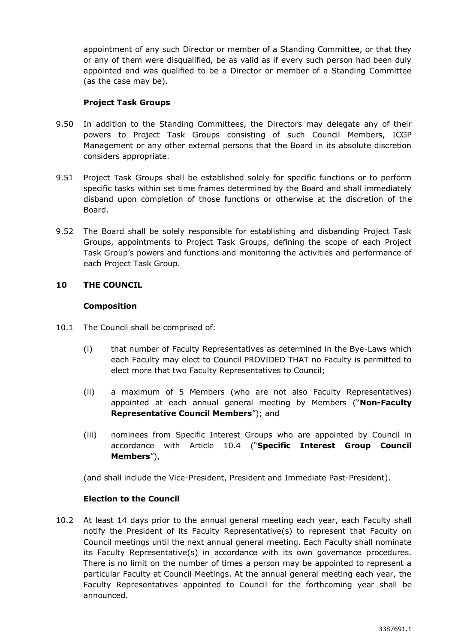appointment of any such Director or member of a Standing Committee, or that they or any of them were disqualified, be as valid as if every such person had been duly appointed and was qualified to be a Director or member of a Standing Committee (as the case may be).

# **Project Task Groups**

- <span id="page-18-1"></span>9.50 In addition to the Standing Committees, the Directors may delegate any of their powers to Project Task Groups consisting of such Council Members, ICGP Management or any other external persons that the Board in its absolute discretion considers appropriate.
- 9.51 Project Task Groups shall be established solely for specific functions or to perform specific tasks within set time frames determined by the Board and shall immediately disband upon completion of those functions or otherwise at the discretion of the Board.
- 9.52 The Board shall be solely responsible for establishing and disbanding Project Task Groups, appointments to Project Task Groups, defining the scope of each Project Task Group's powers and functions and monitoring the activities and performance of each Project Task Group.

# **10 THE COUNCIL**

## **Composition**

- 10.1 The Council shall be comprised of:
	- (i) that number of Faculty Representatives as determined in the Bye-Laws which each Faculty may elect to Council PROVIDED THAT no Faculty is permitted to elect more that two Faculty Representatives to Council;
	- (ii) a maximum of 5 Members (who are not also Faculty Representatives) appointed at each annual general meeting by Members ("**Non-Faculty Representative Council Members**"); and
	- (iii) nominees from Specific Interest Groups who are appointed by Council in accordance with Article [10.4](#page-19-0) ("**Specific Interest Group Council Members**"),

(and shall include the Vice-President, President and Immediate Past-President).

## **Election to the Council**

<span id="page-18-0"></span>10.2 At least 14 days prior to the annual general meeting each year, each Faculty shall notify the President of its Faculty Representative(s) to represent that Faculty on Council meetings until the next annual general meeting. Each Faculty shall nominate its Faculty Representative(s) in accordance with its own governance procedures. There is no limit on the number of times a person may be appointed to represent a particular Faculty at Council Meetings. At the annual general meeting each year, the Faculty Representatives appointed to Council for the forthcoming year shall be announced.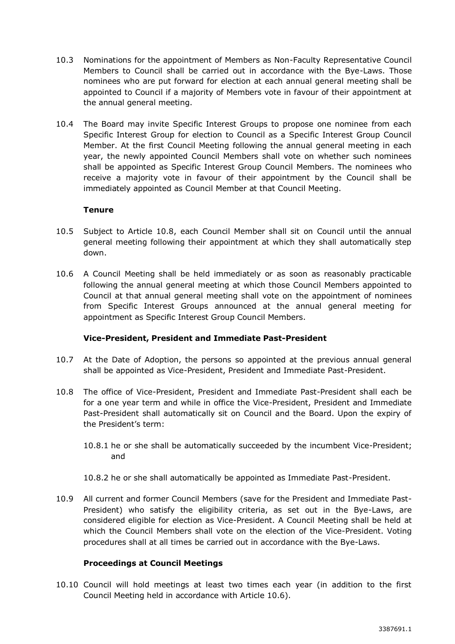- 10.3 Nominations for the appointment of Members as Non-Faculty Representative Council Members to Council shall be carried out in accordance with the Bye-Laws. Those nominees who are put forward for election at each annual general meeting shall be appointed to Council if a majority of Members vote in favour of their appointment at the annual general meeting.
- <span id="page-19-0"></span>10.4 The Board may invite Specific Interest Groups to propose one nominee from each Specific Interest Group for election to Council as a Specific Interest Group Council Member. At the first Council Meeting following the annual general meeting in each year, the newly appointed Council Members shall vote on whether such nominees shall be appointed as Specific Interest Group Council Members. The nominees who receive a majority vote in favour of their appointment by the Council shall be immediately appointed as Council Member at that Council Meeting.

## **Tenure**

- 10.5 Subject to Article [10.8,](#page-19-1) each Council Member shall sit on Council until the annual general meeting following their appointment at which they shall automatically step down.
- <span id="page-19-2"></span>10.6 A Council Meeting shall be held immediately or as soon as reasonably practicable following the annual general meeting at which those Council Members appointed to Council at that annual general meeting shall vote on the appointment of nominees from Specific Interest Groups announced at the annual general meeting for appointment as Specific Interest Group Council Members.

## **Vice-President, President and Immediate Past-President**

- 10.7 At the Date of Adoption, the persons so appointed at the previous annual general shall be appointed as Vice-President, President and Immediate Past-President.
- <span id="page-19-1"></span>10.8 The office of Vice-President, President and Immediate Past-President shall each be for a one year term and while in office the Vice-President, President and Immediate Past-President shall automatically sit on Council and the Board. Upon the expiry of the President's term:
	- 10.8.1 he or she shall be automatically succeeded by the incumbent Vice-President; and
	- 10.8.2 he or she shall automatically be appointed as Immediate Past-President.
- 10.9 All current and former Council Members (save for the President and Immediate Past-President) who satisfy the eligibility criteria, as set out in the Bye-Laws, are considered eligible for election as Vice-President. A Council Meeting shall be held at which the Council Members shall vote on the election of the Vice-President. Voting procedures shall at all times be carried out in accordance with the Bye-Laws.

#### **Proceedings at Council Meetings**

10.10 Council will hold meetings at least two times each year (in addition to the first Council Meeting held in accordance with Article [10.6\)](#page-19-2).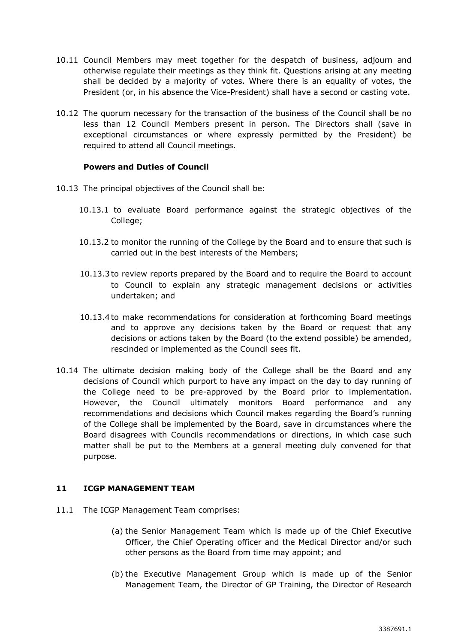- 10.11 Council Members may meet together for the despatch of business, adjourn and otherwise regulate their meetings as they think fit. Questions arising at any meeting shall be decided by a majority of votes. Where there is an equality of votes, the President (or, in his absence the Vice-President) shall have a second or casting vote.
- 10.12 The quorum necessary for the transaction of the business of the Council shall be no less than 12 Council Members present in person. The Directors shall (save in exceptional circumstances or where expressly permitted by the President) be required to attend all Council meetings.

### **Powers and Duties of Council**

- 10.13 The principal objectives of the Council shall be:
	- 10.13.1 to evaluate Board performance against the strategic objectives of the College;
	- 10.13.2 to monitor the running of the College by the Board and to ensure that such is carried out in the best interests of the Members;
	- 10.13.3to review reports prepared by the Board and to require the Board to account to Council to explain any strategic management decisions or activities undertaken; and
	- 10.13.4to make recommendations for consideration at forthcoming Board meetings and to approve any decisions taken by the Board or request that any decisions or actions taken by the Board (to the extend possible) be amended, rescinded or implemented as the Council sees fit.
- 10.14 The ultimate decision making body of the College shall be the Board and any decisions of Council which purport to have any impact on the day to day running of the College need to be pre-approved by the Board prior to implementation. However, the Council ultimately monitors Board performance and any recommendations and decisions which Council makes regarding the Board's running of the College shall be implemented by the Board, save in circumstances where the Board disagrees with Councils recommendations or directions, in which case such matter shall be put to the Members at a general meeting duly convened for that purpose.

#### **11 ICGP MANAGEMENT TEAM**

- 11.1 The ICGP Management Team comprises:
	- (a) the Senior Management Team which is made up of the Chief Executive Officer, the Chief Operating officer and the Medical Director and/or such other persons as the Board from time may appoint; and
	- (b) the Executive Management Group which is made up of the Senior Management Team, the Director of GP Training, the Director of Research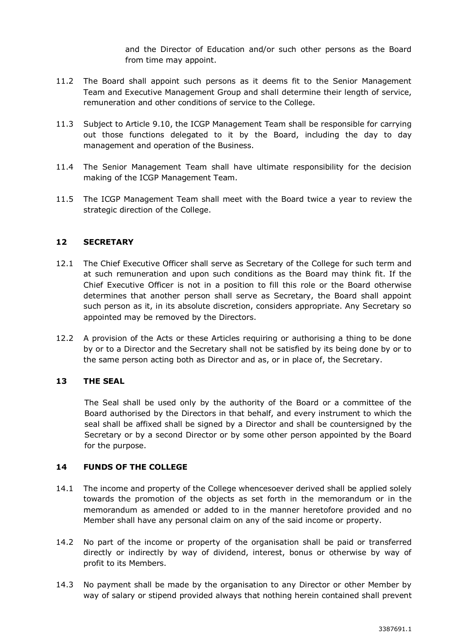and the Director of Education and/or such other persons as the Board from time may appoint.

- 11.2 The Board shall appoint such persons as it deems fit to the Senior Management Team and Executive Management Group and shall determine their length of service, remuneration and other conditions of service to the College.
- 11.3 Subject to Article [9.10,](#page-10-0) the ICGP Management Team shall be responsible for carrying out those functions delegated to it by the Board, including the day to day management and operation of the Business.
- 11.4 The Senior Management Team shall have ultimate responsibility for the decision making of the ICGP Management Team.
- 11.5 The ICGP Management Team shall meet with the Board twice a year to review the strategic direction of the College.

## **12 SECRETARY**

- 12.1 The Chief Executive Officer shall serve as Secretary of the College for such term and at such remuneration and upon such conditions as the Board may think fit. If the Chief Executive Officer is not in a position to fill this role or the Board otherwise determines that another person shall serve as Secretary, the Board shall appoint such person as it, in its absolute discretion, considers appropriate. Any Secretary so appointed may be removed by the Directors.
- 12.2 A provision of the Acts or these Articles requiring or authorising a thing to be done by or to a Director and the Secretary shall not be satisfied by its being done by or to the same person acting both as Director and as, or in place of, the Secretary.

# **13 THE SEAL**

The Seal shall be used only by the authority of the Board or a committee of the Board authorised by the Directors in that behalf, and every instrument to which the seal shall be affixed shall be signed by a Director and shall be countersigned by the Secretary or by a second Director or by some other person appointed by the Board for the purpose.

#### **14 FUNDS OF THE COLLEGE**

- 14.1 The income and property of the College whencesoever derived shall be applied solely towards the promotion of the objects as set forth in the memorandum or in the memorandum as amended or added to in the manner heretofore provided and no Member shall have any personal claim on any of the said income or property.
- 14.2 No part of the income or property of the organisation shall be paid or transferred directly or indirectly by way of dividend, interest, bonus or otherwise by way of profit to its Members.
- 14.3 No payment shall be made by the organisation to any Director or other Member by way of salary or stipend provided always that nothing herein contained shall prevent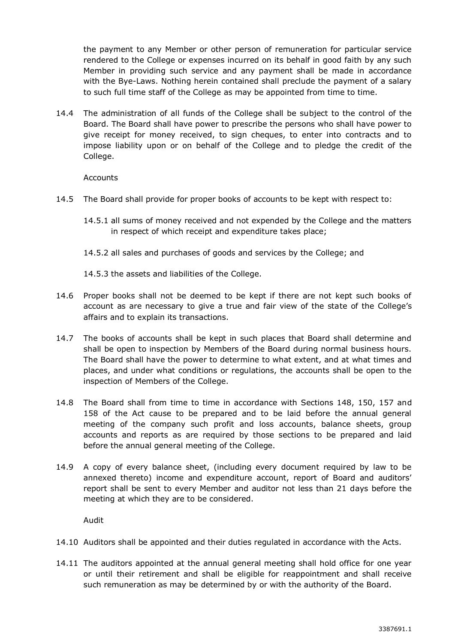the payment to any Member or other person of remuneration for particular service rendered to the College or expenses incurred on its behalf in good faith by any such Member in providing such service and any payment shall be made in accordance with the Bye-Laws. Nothing herein contained shall preclude the payment of a salary to such full time staff of the College as may be appointed from time to time.

14.4 The administration of all funds of the College shall be subject to the control of the Board. The Board shall have power to prescribe the persons who shall have power to give receipt for money received, to sign cheques, to enter into contracts and to impose liability upon or on behalf of the College and to pledge the credit of the College.

Accounts

- 14.5 The Board shall provide for proper books of accounts to be kept with respect to:
	- 14.5.1 all sums of money received and not expended by the College and the matters in respect of which receipt and expenditure takes place;
	- 14.5.2 all sales and purchases of goods and services by the College; and
	- 14.5.3 the assets and liabilities of the College.
- 14.6 Proper books shall not be deemed to be kept if there are not kept such books of account as are necessary to give a true and fair view of the state of the College's affairs and to explain its transactions.
- 14.7 The books of accounts shall be kept in such places that Board shall determine and shall be open to inspection by Members of the Board during normal business hours. The Board shall have the power to determine to what extent, and at what times and places, and under what conditions or regulations, the accounts shall be open to the inspection of Members of the College.
- 14.8 The Board shall from time to time in accordance with Sections 148, 150, 157 and 158 of the Act cause to be prepared and to be laid before the annual general meeting of the company such profit and loss accounts, balance sheets, group accounts and reports as are required by those sections to be prepared and laid before the annual general meeting of the College.
- 14.9 A copy of every balance sheet, (including every document required by law to be annexed thereto) income and expenditure account, report of Board and auditors' report shall be sent to every Member and auditor not less than 21 days before the meeting at which they are to be considered.

Audit

- 14.10 Auditors shall be appointed and their duties regulated in accordance with the Acts.
- 14.11 The auditors appointed at the annual general meeting shall hold office for one year or until their retirement and shall be eligible for reappointment and shall receive such remuneration as may be determined by or with the authority of the Board.